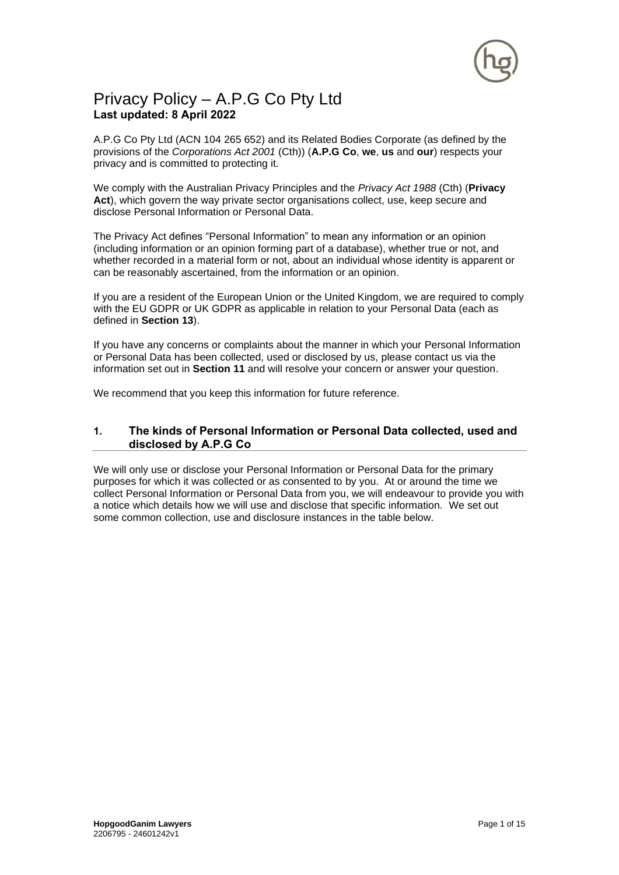

# Privacy Policy – A.P.G Co Pty Ltd **Last updated: 8 April 2022**

A.P.G Co Pty Ltd (ACN 104 265 652) and its Related Bodies Corporate (as defined by the provisions of the *Corporations Act 2001* (Cth)) (**A.P.G Co**, **we**, **us** and **our**) respects your privacy and is committed to protecting it.

We comply with the Australian Privacy Principles and the *Privacy Act 1988* (Cth) (**Privacy**  Act), which govern the way private sector organisations collect, use, keep secure and disclose Personal Information or Personal Data.

The Privacy Act defines "Personal Information" to mean any information or an opinion (including information or an opinion forming part of a database), whether true or not, and whether recorded in a material form or not, about an individual whose identity is apparent or can be reasonably ascertained, from the information or an opinion.

If you are a resident of the European Union or the United Kingdom, we are required to comply with the EU GDPR or UK GDPR as applicable in relation to your Personal Data (each as defined in **Section [13](#page-13-0)**[\).](#page-12-0) 

If you have any concerns or complaints about the manner in which your Personal Information or Personal Data has been collected, used or disclosed by us, please contact us via the information set out in **Section [11](#page-12-1)** and will resolve your concern or answer your question.

We recommend that you keep this information for future reference.

# <span id="page-0-0"></span>**1. The kinds of Personal Information or Personal Data collected, used and disclosed by A.P.G Co**

We will only use or disclose your Personal Information or Personal Data for the primary purposes for which it was collected or as consented to by you. At or around the time we collect Personal Information or Personal Data from you, we will endeavour to provide you with a notice which details how we will use and disclose that specific information. We set out some common collection, use and disclosure instances in the table below.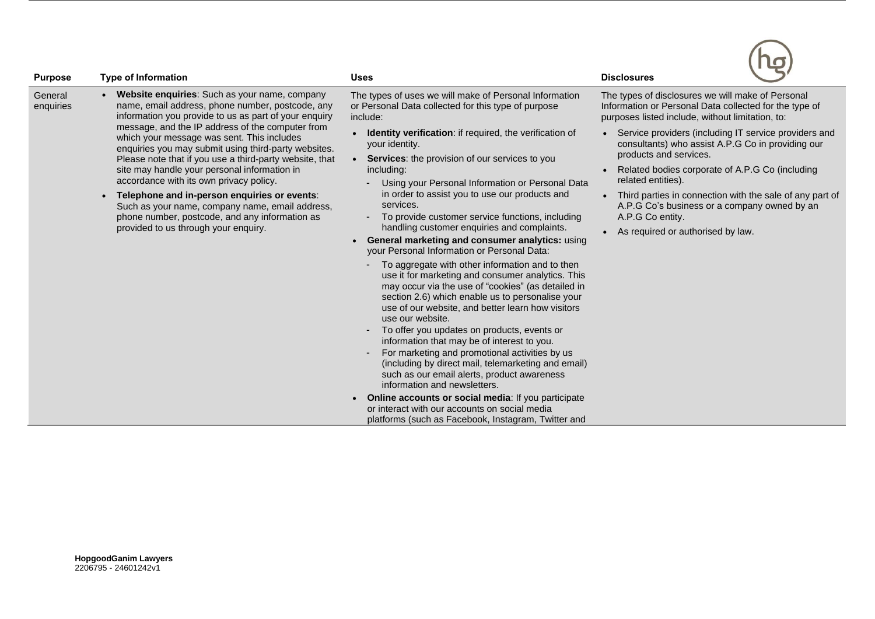| <b>Purpose</b>       | <b>Type of Information</b>                                                                                                                                                                                                                                                                                                                                                                                                                                                                                                                                                                                                                                                                  | <b>Uses</b>                                                                                                                                                                                                                                                                                                                                                                                                                                                                                                                                                                                                                                                                                                                                                                                                                                                                                                                                                                                                                                                                                                                                                                                                                                                                                                                                                    | lo<br><b>Disclosures</b>                                                                                                                                                                                                                                                                                                                                                                                                                                                                                                                              |
|----------------------|---------------------------------------------------------------------------------------------------------------------------------------------------------------------------------------------------------------------------------------------------------------------------------------------------------------------------------------------------------------------------------------------------------------------------------------------------------------------------------------------------------------------------------------------------------------------------------------------------------------------------------------------------------------------------------------------|----------------------------------------------------------------------------------------------------------------------------------------------------------------------------------------------------------------------------------------------------------------------------------------------------------------------------------------------------------------------------------------------------------------------------------------------------------------------------------------------------------------------------------------------------------------------------------------------------------------------------------------------------------------------------------------------------------------------------------------------------------------------------------------------------------------------------------------------------------------------------------------------------------------------------------------------------------------------------------------------------------------------------------------------------------------------------------------------------------------------------------------------------------------------------------------------------------------------------------------------------------------------------------------------------------------------------------------------------------------|-------------------------------------------------------------------------------------------------------------------------------------------------------------------------------------------------------------------------------------------------------------------------------------------------------------------------------------------------------------------------------------------------------------------------------------------------------------------------------------------------------------------------------------------------------|
| General<br>enquiries | <b>Website enquiries:</b> Such as your name, company<br>name, email address, phone number, postcode, any<br>information you provide to us as part of your enquiry<br>message, and the IP address of the computer from<br>which your message was sent. This includes<br>enquiries you may submit using third-party websites.<br>Please note that if you use a third-party website, that<br>site may handle your personal information in<br>accordance with its own privacy policy.<br>Telephone and in-person enquiries or events:<br>$\bullet$<br>Such as your name, company name, email address,<br>phone number, postcode, and any information as<br>provided to us through your enquiry. | The types of uses we will make of Personal Information<br>or Personal Data collected for this type of purpose<br>include:<br><b>Identity verification:</b> if required, the verification of<br>your identity.<br>• Services: the provision of our services to you<br>including:<br>Using your Personal Information or Personal Data<br>in order to assist you to use our products and<br>services.<br>To provide customer service functions, including<br>handling customer enquiries and complaints.<br>General marketing and consumer analytics: using<br>your Personal Information or Personal Data:<br>To aggregate with other information and to then<br>use it for marketing and consumer analytics. This<br>may occur via the use of "cookies" (as detailed in<br>section 2.6) which enable us to personalise your<br>use of our website, and better learn how visitors<br>use our website.<br>To offer you updates on products, events or<br>information that may be of interest to you.<br>For marketing and promotional activities by us<br>(including by direct mail, telemarketing and email)<br>such as our email alerts, product awareness<br>information and newsletters.<br><b>Online accounts or social media: If you participate</b><br>or interact with our accounts on social media<br>platforms (such as Facebook, Instagram, Twitter and | The types of disclosures we will make of Personal<br>Information or Personal Data collected for the type of<br>purposes listed include, without limitation, to:<br>Service providers (including IT service providers and<br>consultants) who assist A.P.G Co in providing our<br>products and services.<br>Related bodies corporate of A.P.G Co (including<br>related entities).<br>Third parties in connection with the sale of any part of<br>A.P.G Co's business or a company owned by an<br>A.P.G Co entity.<br>As required or authorised by law. |

 $\sqrt{2}$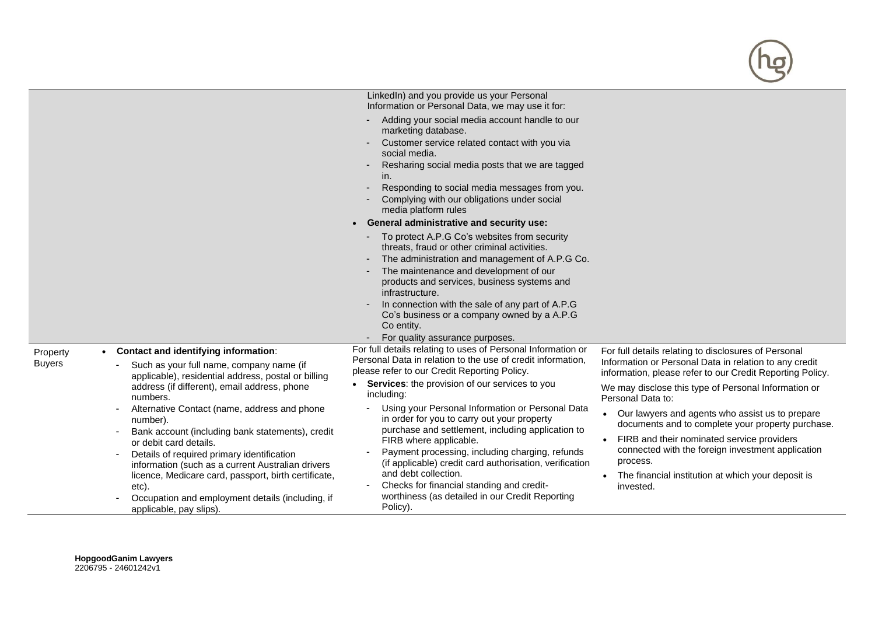|                                                                                                                                                                                                                                           | LinkedIn) and you provide us your Personal<br>Information or Personal Data, we may use it for:                                                                                                                                                                                                                            |                                                                                                                                                                                                                                                          |
|-------------------------------------------------------------------------------------------------------------------------------------------------------------------------------------------------------------------------------------------|---------------------------------------------------------------------------------------------------------------------------------------------------------------------------------------------------------------------------------------------------------------------------------------------------------------------------|----------------------------------------------------------------------------------------------------------------------------------------------------------------------------------------------------------------------------------------------------------|
|                                                                                                                                                                                                                                           | Adding your social media account handle to our<br>marketing database.<br>Customer service related contact with you via<br>social media.<br>Resharing social media posts that we are tagged<br>in.<br>Responding to social media messages from you.<br>Complying with our obligations under social<br>media platform rules |                                                                                                                                                                                                                                                          |
|                                                                                                                                                                                                                                           | • General administrative and security use:                                                                                                                                                                                                                                                                                |                                                                                                                                                                                                                                                          |
|                                                                                                                                                                                                                                           | To protect A.P.G Co's websites from security<br>threats, fraud or other criminal activities.<br>The administration and management of A.P.G Co.<br>The maintenance and development of our<br>products and services, business systems and<br>infrastructure.<br>In connection with the sale of any part of A.P.G            |                                                                                                                                                                                                                                                          |
|                                                                                                                                                                                                                                           | Co's business or a company owned by a A.P.G<br>Co entity.                                                                                                                                                                                                                                                                 |                                                                                                                                                                                                                                                          |
|                                                                                                                                                                                                                                           | For quality assurance purposes.                                                                                                                                                                                                                                                                                           |                                                                                                                                                                                                                                                          |
| • Contact and identifying information:<br>Property<br><b>Buyers</b><br>Such as your full name, company name (if<br>applicable), residential address, postal or billing<br>address (if different), email address, phone<br>numbers.        | For full details relating to uses of Personal Information or<br>Personal Data in relation to the use of credit information,<br>please refer to our Credit Reporting Policy.<br>Services: the provision of our services to you<br>including:                                                                               | For full details relating to disclosures of Personal<br>Information or Personal Data in relation to any credit<br>information, please refer to our Credit Reporting Policy.<br>We may disclose this type of Personal Information or<br>Personal Data to: |
| Alternative Contact (name, address and phone<br>number).<br>Bank account (including bank statements), credit<br>or debit card details.<br>Details of required primary identification<br>information (such as a current Australian drivers | Using your Personal Information or Personal Data<br>in order for you to carry out your property<br>purchase and settlement, including application to<br>FIRB where applicable.<br>Payment processing, including charging, refunds<br>(if applicable) credit card authorisation, verification                              | • Our lawyers and agents who assist us to prepare<br>documents and to complete your property purchase.<br>• FIRB and their nominated service providers<br>connected with the foreign investment application<br>process.                                  |
| licence, Medicare card, passport, birth certificate,<br>etc).<br>Occupation and employment details (including, if<br>applicable, pay slips).                                                                                              | and debt collection.<br>Checks for financial standing and credit-<br>worthiness (as detailed in our Credit Reporting<br>Policy).                                                                                                                                                                                          | • The financial institution at which your deposit is<br>invested.                                                                                                                                                                                        |

0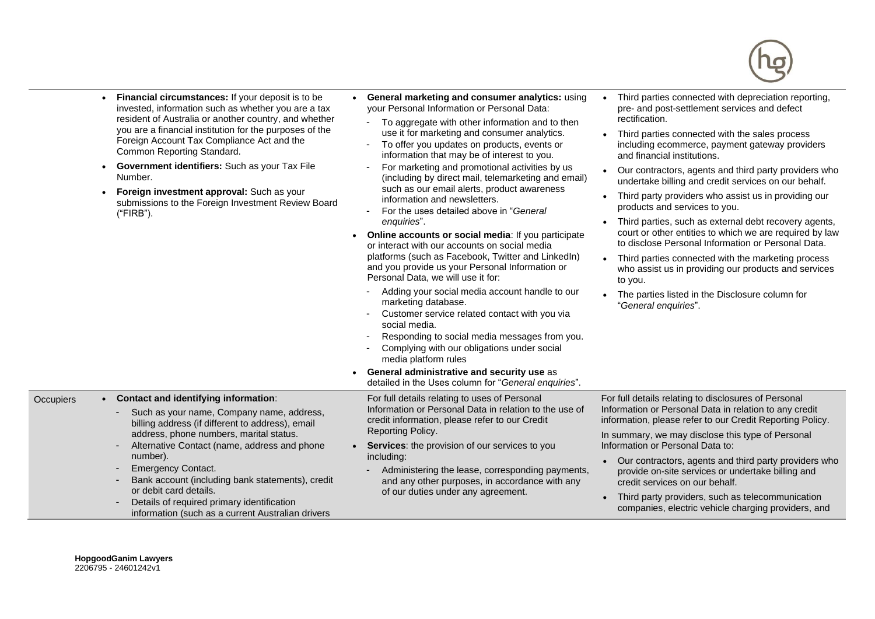

- **Financial circumstances:** If your deposit is to be invested, information such as whether you are a tax resident of Australia or another country, and whether you are a financial institution for the purposes of the Foreign Account Tax Compliance Act and the Common Reporting Standard.
- **Government identifiers:** Such as your Tax File Number.
- **Foreign investment approval:** Such as your submissions to the Foreign Investment Review Board ("FIRB").
- **General marketing and consumer analytics:** using your Personal Information or Personal Data:
	- To aggregate with other information and to then use it for marketing and consumer analytics.
	- To offer you updates on products, events or information that may be of interest to you.
	- For marketing and promotional activities by us (including by direct mail, telemarketing and email) such as our email alerts, product awareness information and newsletters.
	- For the uses detailed above in "*General enquiries*".
- **Online accounts or social media**: If you participate or interact with our accounts on social media platforms (such as Facebook, Twitter and LinkedIn) and you provide us your Personal Information or Personal Data, we will use it for:
	- Adding your social media account handle to our marketing database.
	- Customer service related contact with you via social media.
	- Responding to social media messages from you.
	- Complying with our obligations under social media platform rules
- Third parties connected with depreciation reporting, pre- and post-settlement services and defect rectification.
- Third parties connected with the sales process including ecommerce, payment gateway providers and financial institutions.
- Our contractors, agents and third party providers who undertake billing and credit services on our behalf.
- Third party providers who assist us in providing our products and services to you.
- Third parties, such as external debt recovery agents, court or other entities to which we are required by law to disclose Personal Information or Personal Data.
- Third parties connected with the marketing process who assist us in providing our products and services to you.
- The parties listed in the Disclosure column for "*General enquiries*".

|           |                                                                                                                                                                                                                                                                                                                                                                                                                                                            | <b>General administrative and security use as</b><br>detailed in the Uses column for "General enquiries".                                                                                                                                                                                                                                                                                  |                                                                                                                                                                                                                                                                                                                                                                                                                                                                                                                                   |
|-----------|------------------------------------------------------------------------------------------------------------------------------------------------------------------------------------------------------------------------------------------------------------------------------------------------------------------------------------------------------------------------------------------------------------------------------------------------------------|--------------------------------------------------------------------------------------------------------------------------------------------------------------------------------------------------------------------------------------------------------------------------------------------------------------------------------------------------------------------------------------------|-----------------------------------------------------------------------------------------------------------------------------------------------------------------------------------------------------------------------------------------------------------------------------------------------------------------------------------------------------------------------------------------------------------------------------------------------------------------------------------------------------------------------------------|
| Occupiers | Contact and identifying information:<br>Such as your name, Company name, address,<br>billing address (if different to address), email<br>address, phone numbers, marital status.<br>Alternative Contact (name, address and phone<br>number).<br><b>Emergency Contact.</b><br>Bank account (including bank statements), credit<br>or debit card details.<br>Details of required primary identification<br>information (such as a current Australian drivers | For full details relating to uses of Personal<br>Information or Personal Data in relation to the use of<br>credit information, please refer to our Credit<br>Reporting Policy.<br>Services: the provision of our services to you<br>including:<br>Administering the lease, corresponding payments,<br>and any other purposes, in accordance with any<br>of our duties under any agreement. | For full details relating to disclosures of Personal<br>Information or Personal Data in relation to any credit<br>information, please refer to our Credit Reporting Policy.<br>In summary, we may disclose this type of Personal<br>Information or Personal Data to:<br>Our contractors, agents and third party providers who<br>provide on-site services or undertake billing and<br>credit services on our behalf.<br>• Third party providers, such as telecommunication<br>companies, electric vehicle charging providers, and |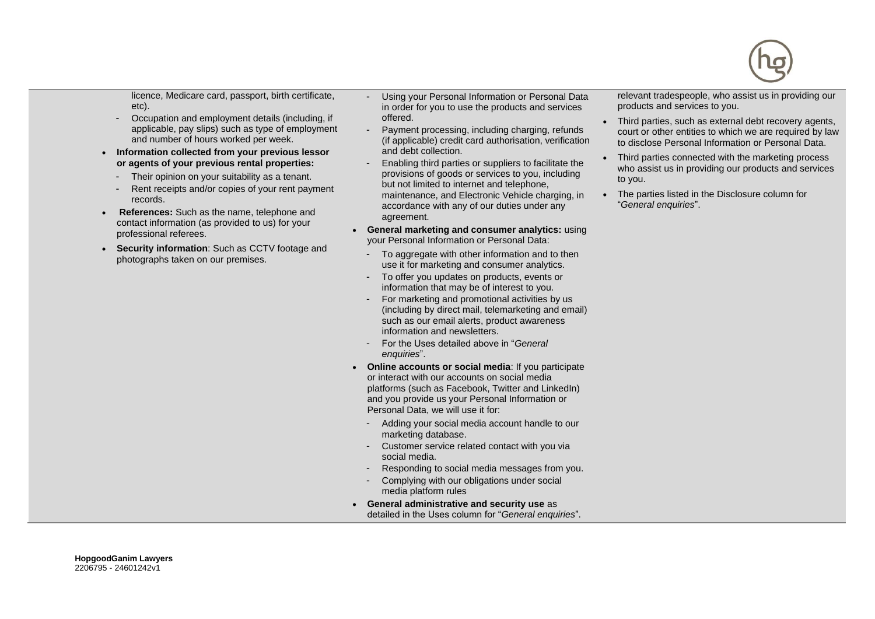

licence, Medicare card, passport, birth certificate, etc).

- Occupation and employment details (including, if applicable, pay slips) such as type of employment and number of hours worked per week.
- **Information collected from your previous lessor or agents of your previous rental properties:** 
	- Their opinion on your suitability as a tenant.
	- Rent receipts and/or copies of your rent payment records.
- **References:** Such as the name, telephone and contact information (as provided to us) for your professional referees.
- **Security information**: Such as CCTV footage and photographs taken on our premises.

- Using your Personal Information or Personal Data in order for you to use the products and services offered.

- Payment processing, including charging, refunds (if applicable) credit card authorisation, verification and debt collection.
- Enabling third parties or suppliers to facilitate the provisions of goods or services to you, including but not limited to internet and telephone, maintenance, and Electronic Vehicle charging, in accordance with any of our duties under any agreement.
- **General marketing and consumer analytics:** using your Personal Information or Personal Data:
	- To aggregate with other information and to then use it for marketing and consumer analytics.
	- To offer you updates on products, events or information that may be of interest to you.
	- For marketing and promotional activities by us (including by direct mail, telemarketing and email) such as our email alerts, product awareness information and newsletters.
	- For the Uses detailed above in "*General enquiries*".
- **Online accounts or social media**: If you participate or interact with our accounts on social media platforms (such as Facebook, Twitter and LinkedIn) and you provide us your Personal Information or Personal Data, we will use it for:
	- Adding your social media account handle to our marketing database.
	- Customer service related contact with you via social media.
	- Responding to social media messages from you.
	- Complying with our obligations under social media platform rules
- **General administrative and security use** as detailed in the Uses column for "*General enquiries*".

relevant tradespeople, who assist us in providing our products and services to you.

- Third parties, such as external debt recovery agents, court or other entities to which we are required by law to disclose Personal Information or Personal Data.
- Third parties connected with the marketing process who assist us in providing our products and services to you.
- The parties listed in the Disclosure column for "*General enquiries*".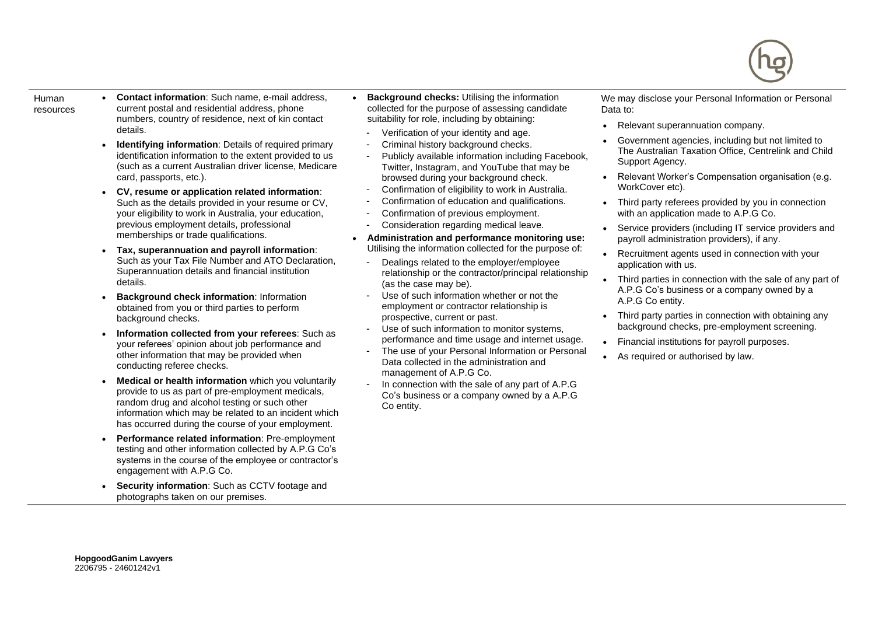

- Human resources
- **Contact information**: Such name, e-mail address, current postal and residential address, phone numbers, country of residence, next of kin contact details.
- **Identifying information**: Details of required primary identification information to the extent provided to us (such as a current Australian driver license, Medicare card, passports, etc.).
- **CV, resume or application related information**: Such as the details provided in your resume or CV, your eligibility to work in Australia, your education, previous employment details, professional memberships or trade qualifications.
- **Tax, superannuation and payroll information**: Such as your Tax File Number and ATO Declaration, Superannuation details and financial institution details.
- **Background check information**: Information obtained from you or third parties to perform background checks.
- **Information collected from your referees**: Such as your referees' opinion about job performance and other information that may be provided when conducting referee checks.
- **Medical or health information** which you voluntarily provide to us as part of pre-employment medicals, random drug and alcohol testing or such other information which may be related to an incident which has occurred during the course of your employment.
- **Performance related information**: Pre-employment testing and other information collected by A.P.G Co's systems in the course of the employee or contractor's engagement with A.P.G Co.
- **Security information**: Such as CCTV footage and photographs taken on our premises.
- **Background checks: Utilising the information** collected for the purpose of assessing candidate suitability for role, including by obtaining:
	- Verification of your identity and age.
	- Criminal history background checks.
	- Publicly available information including Facebook, Twitter, Instagram, and YouTube that may be browsed during your background check.
- Confirmation of eligibility to work in Australia.
- Confirmation of education and qualifications.
- Confirmation of previous employment.
- Consideration regarding medical leave.
- **Administration and performance monitoring use:** Utilising the information collected for the purpose of:
	- Dealings related to the employer/employee relationship or the contractor/principal relationship (as the case may be).
	- Use of such information whether or not the employment or contractor relationship is prospective, current or past.
	- Use of such information to monitor systems, performance and time usage and internet usage.
	- The use of your Personal Information or Personal Data collected in the administration and management of A.P.G Co.
	- In connection with the sale of any part of A.P.G Co's business or a company owned by a A.P.G Co entity.

We may disclose your Personal Information or Personal Data to:

- Relevant superannuation company.
- Government agencies, including but not limited to The Australian Taxation Office, Centrelink and Child Support Agency.
- Relevant Worker's Compensation organisation (e.g. WorkCover etc).
- Third party referees provided by you in connection with an application made to A.P.G Co.
- Service providers (including IT service providers and payroll administration providers), if any.
- Recruitment agents used in connection with your application with us.
- Third parties in connection with the sale of any part of A.P.G Co's business or a company owned by a A.P.G Co entity.
- Third party parties in connection with obtaining any background checks, pre-employment screening.
- Financial institutions for payroll purposes.
- As required or authorised by law.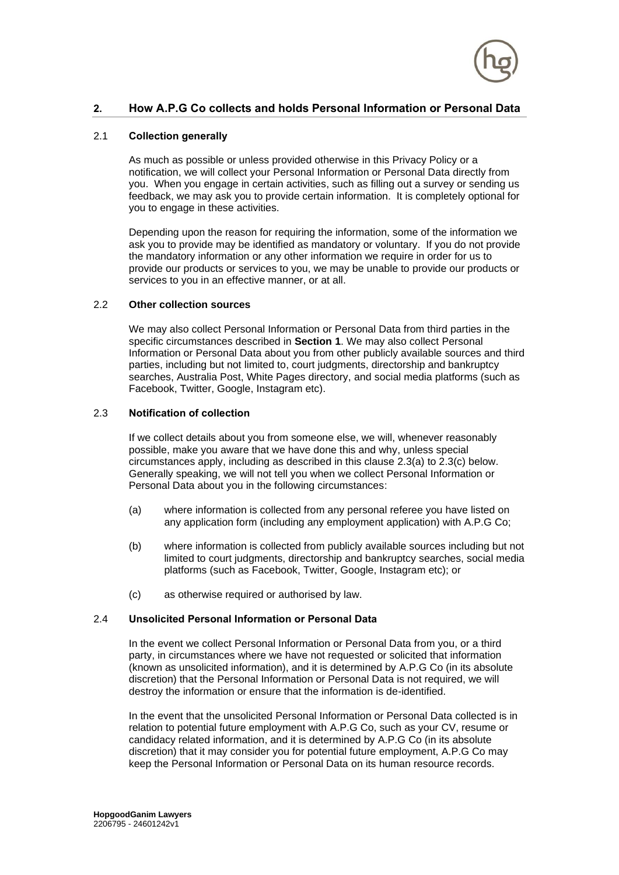

# **2. How A.P.G Co collects and holds Personal Information or Personal Data**

## 2.1 **Collection generally**

As much as possible or unless provided otherwise in this Privacy Policy or a notification, we will collect your Personal Information or Personal Data directly from you. When you engage in certain activities, such as filling out a survey or sending us feedback, we may ask you to provide certain information. It is completely optional for you to engage in these activities.

Depending upon the reason for requiring the information, some of the information we ask you to provide may be identified as mandatory or voluntary. If you do not provide the mandatory information or any other information we require in order for us to provide our products or services to you, we may be unable to provide our products or services to you in an effective manner, or at all.

## 2.2 **Other collection sources**

We may also collect Personal Information or Personal Data from third parties in the specific circumstances described in **Section 1**. We may also collect Personal Information or Personal Data about you from other publicly available sources and third parties, including but not limited to, court judgments, directorship and bankruptcy searches, Australia Post, White Pages directory, and social media platforms (such as Facebook, Twitter, Google, Instagram etc).

## 2.3 **Notification of collection**

If we collect details about you from someone else, we will, whenever reasonably possible, make you aware that we have done this and why, unless special circumstances apply, including as described in this clause [2.3\(a\)](#page-6-0) to [2.3\(c\)](#page-6-1) below. Generally speaking, we will not tell you when we collect Personal Information or Personal Data about you in the following circumstances:

- <span id="page-6-0"></span>(a) where information is collected from any personal referee you have listed on any application form (including any employment application) with A.P.G Co;
- (b) where information is collected from publicly available sources including but not limited to court judgments, directorship and bankruptcy searches, social media platforms (such as Facebook, Twitter, Google, Instagram etc); or
- (c) as otherwise required or authorised by law.

## <span id="page-6-1"></span>2.4 **Unsolicited Personal Information or Personal Data**

In the event we collect Personal Information or Personal Data from you, or a third party, in circumstances where we have not requested or solicited that information (known as unsolicited information), and it is determined by A.P.G Co (in its absolute discretion) that the Personal Information or Personal Data is not required, we will destroy the information or ensure that the information is de-identified.

In the event that the unsolicited Personal Information or Personal Data collected is in relation to potential future employment with A.P.G Co, such as your CV, resume or candidacy related information, and it is determined by A.P.G Co (in its absolute discretion) that it may consider you for potential future employment, A.P.G Co may keep the Personal Information or Personal Data on its human resource records.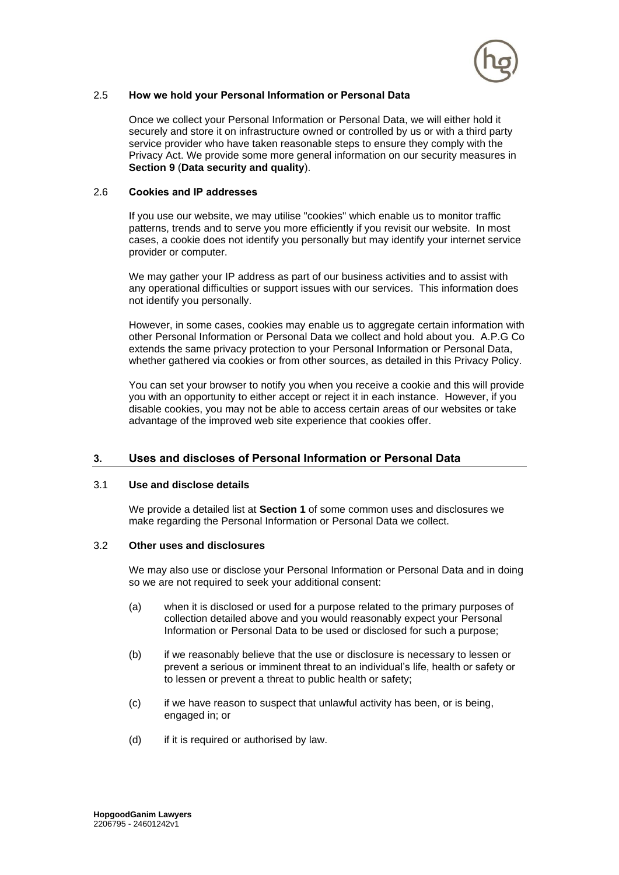

## <span id="page-7-0"></span>2.5 **How we hold your Personal Information or Personal Data**

Once we collect your Personal Information or Personal Data, we will either hold it securely and store it on infrastructure owned or controlled by us or with a third party service provider who have taken reasonable steps to ensure they comply with the Privacy Act. We provide some more general information on our security measures in **Section 9** (**Data security and quality**).

## 2.6 **Cookies and IP addresses**

If you use our website, we may utilise "cookies" which enable us to monitor traffic patterns, trends and to serve you more efficiently if you revisit our website. In most cases, a cookie does not identify you personally but may identify your internet service provider or computer.

We may gather your IP address as part of our business activities and to assist with any operational difficulties or support issues with our services. This information does not identify you personally.

However, in some cases, cookies may enable us to aggregate certain information with other Personal Information or Personal Data we collect and hold about you. A.P.G Co extends the same privacy protection to your Personal Information or Personal Data, whether gathered via cookies or from other sources, as detailed in this Privacy Policy.

You can set your browser to notify you when you receive a cookie and this will provide you with an opportunity to either accept or reject it in each instance. However, if you disable cookies, you may not be able to access certain areas of our websites or take advantage of the improved web site experience that cookies offer.

## **3. Uses and discloses of Personal Information or Personal Data**

#### 3.1 **Use and disclose details**

We provide a detailed list at **Section 1** of some common uses and disclosures we make regarding the Personal Information or Personal Data we collect.

#### 3.2 **Other uses and disclosures**

We may also use or disclose your Personal Information or Personal Data and in doing so we are not required to seek your additional consent:

- (a) when it is disclosed or used for a purpose related to the primary purposes of collection detailed above and you would reasonably expect your Personal Information or Personal Data to be used or disclosed for such a purpose;
- (b) if we reasonably believe that the use or disclosure is necessary to lessen or prevent a serious or imminent threat to an individual's life, health or safety or to lessen or prevent a threat to public health or safety;
- (c) if we have reason to suspect that unlawful activity has been, or is being, engaged in; or
- (d) if it is required or authorised by law.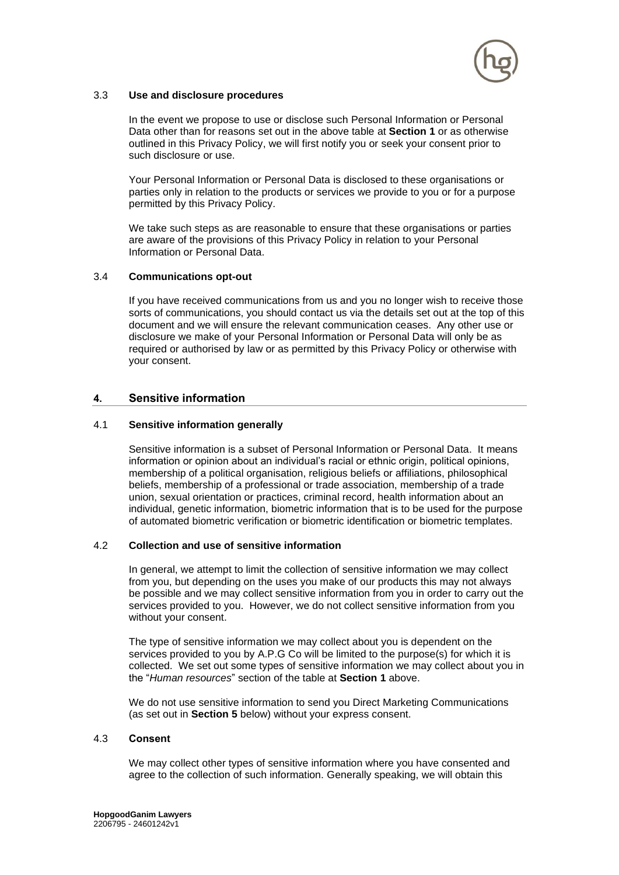

## 3.3 **Use and disclosure procedures**

In the event we propose to use or disclose such Personal Information or Personal Data other than for reasons set out in the above table at **Section [1](#page-0-0)** or as otherwise outlined in this Privacy Policy, we will first notify you or seek your consent prior to such disclosure or use.

Your Personal Information or Personal Data is disclosed to these organisations or parties only in relation to the products or services we provide to you or for a purpose permitted by this Privacy Policy.

We take such steps as are reasonable to ensure that these organisations or parties are aware of the provisions of this Privacy Policy in relation to your Personal Information or Personal Data.

## 3.4 **Communications opt-out**

If you have received communications from us and you no longer wish to receive those sorts of communications, you should contact us via the details set out at the top of this document and we will ensure the relevant communication ceases. Any other use or disclosure we make of your Personal Information or Personal Data will only be as required or authorised by law or as permitted by this Privacy Policy or otherwise with your consent.

## **4. Sensitive information**

#### 4.1 **Sensitive information generally**

Sensitive information is a subset of Personal Information or Personal Data. It means information or opinion about an individual's racial or ethnic origin, political opinions, membership of a political organisation, religious beliefs or affiliations, philosophical beliefs, membership of a professional or trade association, membership of a trade union, sexual orientation or practices, criminal record, health information about an individual, genetic information, biometric information that is to be used for the purpose of automated biometric verification or biometric identification or biometric templates.

#### 4.2 **Collection and use of sensitive information**

In general, we attempt to limit the collection of sensitive information we may collect from you, but depending on the uses you make of our products this may not always be possible and we may collect sensitive information from you in order to carry out the services provided to you. However, we do not collect sensitive information from you without your consent.

The type of sensitive information we may collect about you is dependent on the services provided to you by A.P.G Co will be limited to the purpose(s) for which it is collected. We set out some types of sensitive information we may collect about you in the "*Human resources*" section of the table at **Section [1](#page-0-0)** above.

We do not use sensitive information to send you Direct Marketing Communications (as set out in **Section [5](#page-9-0)** below) without your express consent.

#### 4.3 **Consent**

We may collect other types of sensitive information where you have consented and agree to the collection of such information. Generally speaking, we will obtain this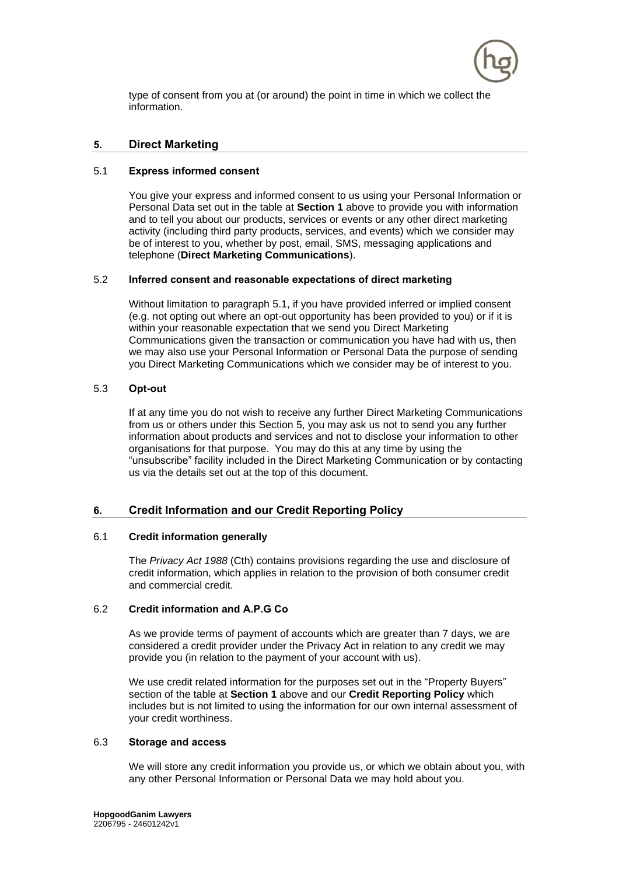

type of consent from you at (or around) the point in time in which we collect the information.

## <span id="page-9-0"></span>**5. Direct Marketing**

## <span id="page-9-1"></span>5.1 **Express informed consent**

You give your express and informed consent to us using your Personal Information or Personal Data set out in the table at **Section [1](#page-0-0)** above to provide you with information and to tell you about our products, services or events or any other direct marketing activity (including third party products, services, and events) which we consider may be of interest to you, whether by post, email, SMS, messaging applications and telephone (**Direct Marketing Communications**).

## 5.2 **Inferred consent and reasonable expectations of direct marketing**

Without limitation to paragraph [5.1,](#page-9-1) if you have provided inferred or implied consent (e.g. not opting out where an opt-out opportunity has been provided to you) or if it is within your reasonable expectation that we send you Direct Marketing Communications given the transaction or communication you have had with us, then we may also use your Personal Information or Personal Data the purpose of sending you Direct Marketing Communications which we consider may be of interest to you.

## 5.3 **Opt-out**

If at any time you do not wish to receive any further Direct Marketing Communications from us or others under this Section 5, you may ask us not to send you any further information about products and services and not to disclose your information to other organisations for that purpose. You may do this at any time by using the "unsubscribe" facility included in the Direct Marketing Communication or by contacting us via the details set out at the top of this document.

## **6. Credit Information and our Credit Reporting Policy**

#### 6.1 **Credit information generally**

The *Privacy Act 1988* (Cth) contains provisions regarding the use and disclosure of credit information, which applies in relation to the provision of both consumer credit and commercial credit.

#### 6.2 **Credit information and A.P.G Co**

As we provide terms of payment of accounts which are greater than 7 days, we are considered a credit provider under the Privacy Act in relation to any credit we may provide you (in relation to the payment of your account with us).

We use credit related information for the purposes set out in the "Property Buyers" section of the table at **Section 1** above and our **Credit Reporting Policy** which includes but is not limited to using the information for our own internal assessment of your credit worthiness.

#### 6.3 **Storage and access**

We will store any credit information you provide us, or which we obtain about you, with any other Personal Information or Personal Data we may hold about you.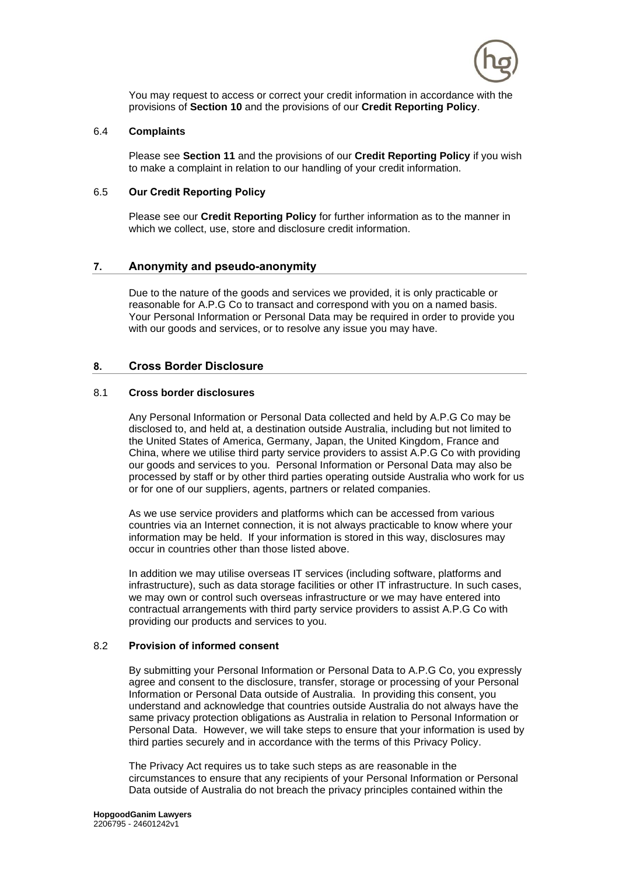

You may request to access or correct your credit information in accordance with the provisions of **Section 10** and the provisions of our **Credit Reporting Policy**.

#### 6.4 **Complaints**

Please see **Section 11** and the provisions of our **Credit Reporting Policy** if you wish to make a complaint in relation to our handling of your credit information.

#### 6.5 **Our Credit Reporting Policy**

Please see our **Credit Reporting Policy** for further information as to the manner in which we collect, use, store and disclosure credit information.

## **7. Anonymity and pseudo-anonymity**

Due to the nature of the goods and services we provided, it is only practicable or reasonable for A.P.G Co to transact and correspond with you on a named basis. Your Personal Information or Personal Data may be required in order to provide you with our goods and services, or to resolve any issue you may have.

#### **8. Cross Border Disclosure**

#### 8.1 **Cross border disclosures**

Any Personal Information or Personal Data collected and held by A.P.G Co may be disclosed to, and held at, a destination outside Australia, including but not limited to the United States of America, Germany, Japan, the United Kingdom, France and China, where we utilise third party service providers to assist A.P.G Co with providing our goods and services to you. Personal Information or Personal Data may also be processed by staff or by other third parties operating outside Australia who work for us or for one of our suppliers, agents, partners or related companies.

As we use service providers and platforms which can be accessed from various countries via an Internet connection, it is not always practicable to know where your information may be held. If your information is stored in this way, disclosures may occur in countries other than those listed above.

In addition we may utilise overseas IT services (including software, platforms and infrastructure), such as data storage facilities or other IT infrastructure. In such cases, we may own or control such overseas infrastructure or we may have entered into contractual arrangements with third party service providers to assist A.P.G Co with providing our products and services to you.

## 8.2 **Provision of informed consent**

By submitting your Personal Information or Personal Data to A.P.G Co, you expressly agree and consent to the disclosure, transfer, storage or processing of your Personal Information or Personal Data outside of Australia. In providing this consent, you understand and acknowledge that countries outside Australia do not always have the same privacy protection obligations as Australia in relation to Personal Information or Personal Data. However, we will take steps to ensure that your information is used by third parties securely and in accordance with the terms of this Privacy Policy.

The Privacy Act requires us to take such steps as are reasonable in the circumstances to ensure that any recipients of your Personal Information or Personal Data outside of Australia do not breach the privacy principles contained within the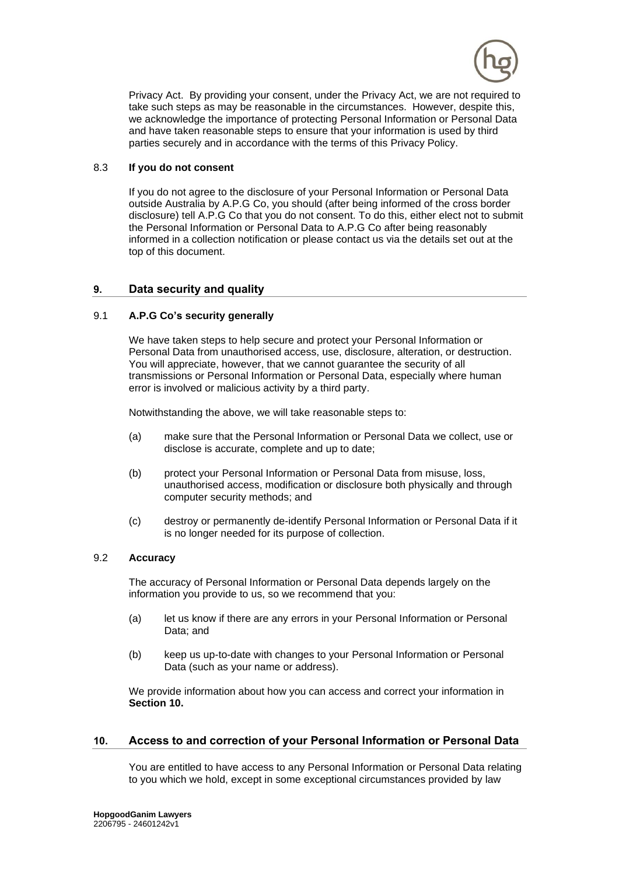

Privacy Act. By providing your consent, under the Privacy Act, we are not required to take such steps as may be reasonable in the circumstances. However, despite this, we acknowledge the importance of protecting Personal Information or Personal Data and have taken reasonable steps to ensure that your information is used by third parties securely and in accordance with the terms of this Privacy Policy.

## 8.3 **If you do not consent**

If you do not agree to the disclosure of your Personal Information or Personal Data outside Australia by A.P.G Co, you should (after being informed of the cross border disclosure) tell A.P.G Co that you do not consent. To do this, either elect not to submit the Personal Information or Personal Data to A.P.G Co after being reasonably informed in a collection notification or please contact us via the details set out at the top of this document.

## **9. Data security and quality**

## 9.1 **A.P.G Co's security generally**

We have taken steps to help secure and protect your Personal Information or Personal Data from unauthorised access, use, disclosure, alteration, or destruction. You will appreciate, however, that we cannot guarantee the security of all transmissions or Personal Information or Personal Data, especially where human error is involved or malicious activity by a third party.

Notwithstanding the above, we will take reasonable steps to:

- (a) make sure that the Personal Information or Personal Data we collect, use or disclose is accurate, complete and up to date;
- (b) protect your Personal Information or Personal Data from misuse, loss, unauthorised access, modification or disclosure both physically and through computer security methods; and
- (c) destroy or permanently de-identify Personal Information or Personal Data if it is no longer needed for its purpose of collection.

#### 9.2 **Accuracy**

The accuracy of Personal Information or Personal Data depends largely on the information you provide to us, so we recommend that you:

- (a) let us know if there are any errors in your Personal Information or Personal Data; and
- (b) keep us up-to-date with changes to your Personal Information or Personal Data (such as your name or address).

We provide information about how you can access and correct your information in **Section [10.](#page-11-0)**

## <span id="page-11-0"></span>**10. Access to and correction of your Personal Information or Personal Data**

You are entitled to have access to any Personal Information or Personal Data relating to you which we hold, except in some exceptional circumstances provided by law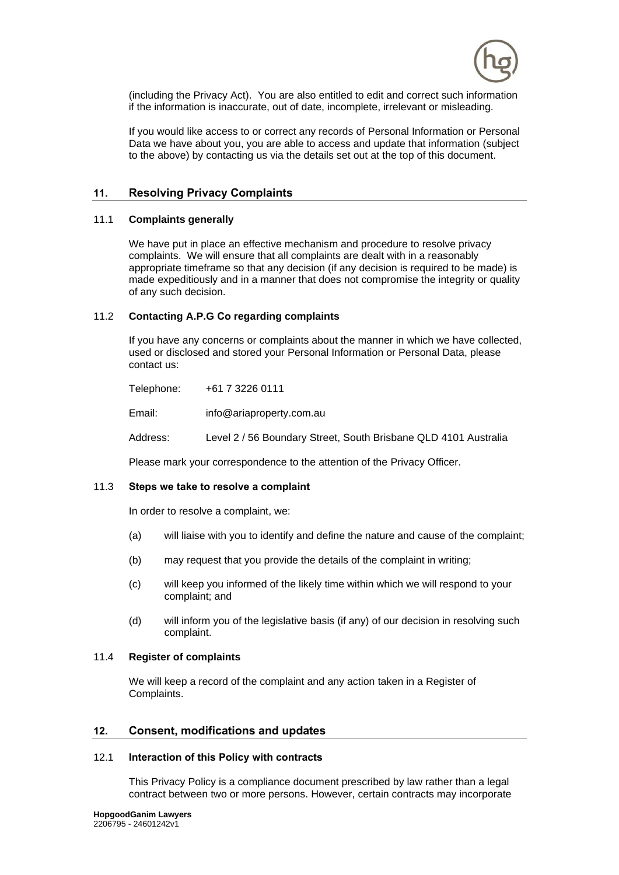

(including the Privacy Act). You are also entitled to edit and correct such information if the information is inaccurate, out of date, incomplete, irrelevant or misleading.

If you would like access to or correct any records of Personal Information or Personal Data we have about you, you are able to access and update that information (subject to the above) by contacting us via the details set out at the top of this document.

# <span id="page-12-1"></span>**11. Resolving Privacy Complaints**

## 11.1 **Complaints generally**

We have put in place an effective mechanism and procedure to resolve privacy complaints. We will ensure that all complaints are dealt with in a reasonably appropriate timeframe so that any decision (if any decision is required to be made) is made expeditiously and in a manner that does not compromise the integrity or quality of any such decision.

## <span id="page-12-2"></span>11.2 **Contacting A.P.G Co regarding complaints**

If you have any concerns or complaints about the manner in which we have collected, used or disclosed and stored your Personal Information or Personal Data, please contact us:

Telephone: +61 7 3226 0111 Email: info@ariaproperty.com.au Address: Level 2 / 56 Boundary Street, South Brisbane QLD 4101 Australia

Please mark your correspondence to the attention of the Privacy Officer.

## 11.3 **Steps we take to resolve a complaint**

In order to resolve a complaint, we:

- (a) will liaise with you to identify and define the nature and cause of the complaint;
- (b) may request that you provide the details of the complaint in writing;
- (c) will keep you informed of the likely time within which we will respond to your complaint; and
- (d) will inform you of the legislative basis (if any) of our decision in resolving such complaint.

#### 11.4 **Register of complaints**

We will keep a record of the complaint and any action taken in a Register of Complaints.

## <span id="page-12-0"></span>**12. Consent, modifications and updates**

#### 12.1 **Interaction of this Policy with contracts**

This Privacy Policy is a compliance document prescribed by law rather than a legal contract between two or more persons. However, certain contracts may incorporate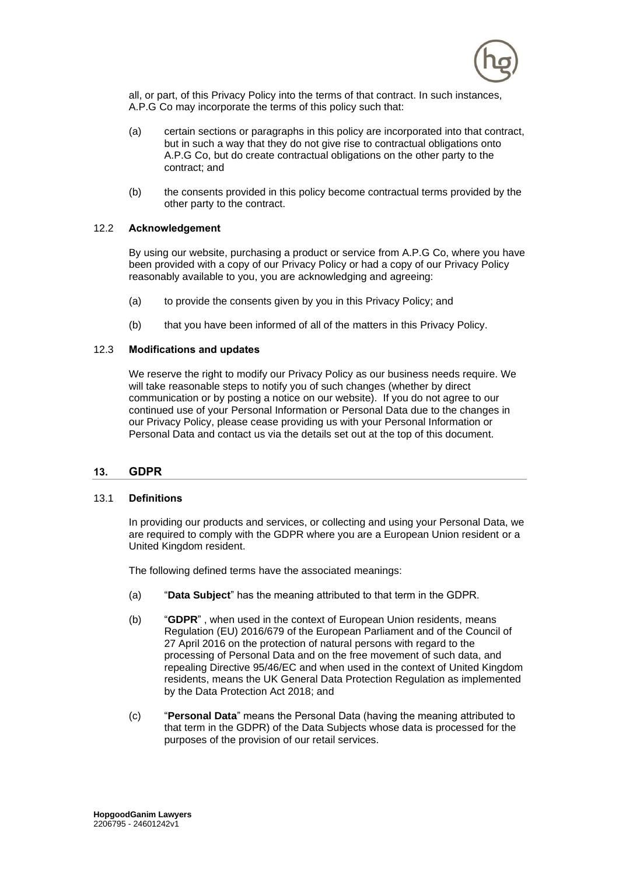

all, or part, of this Privacy Policy into the terms of that contract. In such instances, A.P.G Co may incorporate the terms of this policy such that:

- (a) certain sections or paragraphs in this policy are incorporated into that contract, but in such a way that they do not give rise to contractual obligations onto A.P.G Co, but do create contractual obligations on the other party to the contract; and
- (b) the consents provided in this policy become contractual terms provided by the other party to the contract.

## 12.2 **Acknowledgement**

By using our website, purchasing a product or service from A.P.G Co, where you have been provided with a copy of our Privacy Policy or had a copy of our Privacy Policy reasonably available to you, you are acknowledging and agreeing:

- (a) to provide the consents given by you in this Privacy Policy; and
- (b) that you have been informed of all of the matters in this Privacy Policy.

## 12.3 **Modifications and updates**

We reserve the right to modify our Privacy Policy as our business needs require. We will take reasonable steps to notify you of such changes (whether by direct communication or by posting a notice on our website). If you do not agree to our continued use of your Personal Information or Personal Data due to the changes in our Privacy Policy, please cease providing us with your Personal Information or Personal Data and contact us via the details set out at the top of this document.

## <span id="page-13-0"></span>**13. GDPR**

#### 13.1 **Definitions**

In providing our products and services, or collecting and using your Personal Data, we are required to comply with the GDPR where you are a European Union resident or a United Kingdom resident.

The following defined terms have the associated meanings:

- (a) "**Data Subject**" has the meaning attributed to that term in the GDPR.
- (b) "**GDPR**" , when used in the context of European Union residents, means Regulation (EU) 2016/679 of the European Parliament and of the Council of 27 April 2016 on the protection of natural persons with regard to the processing of Personal Data and on the free movement of such data, and repealing Directive 95/46/EC and when used in the context of United Kingdom residents, means the UK General Data Protection Regulation as implemented by the Data Protection Act 2018; and
- (c) "**Personal Data**" means the Personal Data (having the meaning attributed to that term in the GDPR) of the Data Subjects whose data is processed for the purposes of the provision of our retail services.